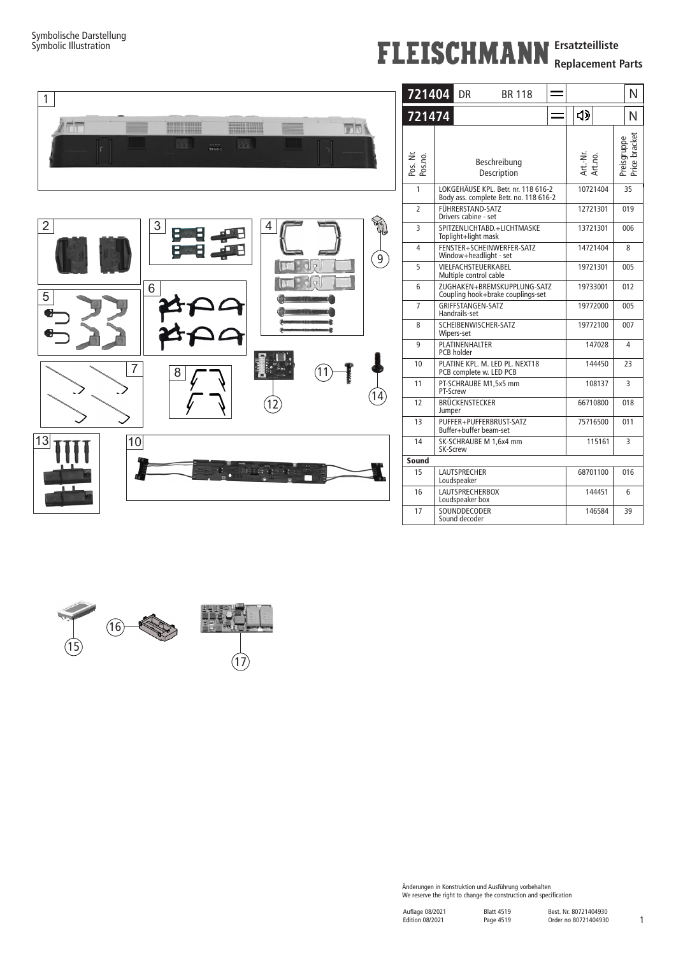## **FLEISCHMANN** Ersatzteilliste

**Replacement Parts**



| 721404              | DR<br><b>BR118</b>                                                            |          | N                   |     |                              |   |
|---------------------|-------------------------------------------------------------------------------|----------|---------------------|-----|------------------------------|---|
| 721474              |                                                                               |          | ่ปุง                |     |                              | Ν |
| Pos. Nr.<br>Pos.no. | Beschreibung<br>Description                                                   |          | Art.-Nr.<br>Art.no. |     | Preisgruppe<br>Price bracket |   |
| 1                   | LOKGEHÄUSE KPL. Betr. nr. 118 616-2<br>Body ass. complete Betr. no. 118 616-2 | 10721404 |                     | 35  |                              |   |
| $\overline{2}$      | FÜHRERSTAND-SATZ<br>Drivers cabine - set                                      | 12721301 | 019                 |     |                              |   |
| 3                   | SPITZENLICHTABD.+LICHTMASKE<br>Toplight+light mask                            | 13721301 | 006                 |     |                              |   |
| 4                   | FENSTER+SCHEINWERFER-SATZ<br>Window+headlight - set                           | 14721404 | 8                   |     |                              |   |
| 5                   | VIELFACHSTEUERKABEL<br>Multiple control cable                                 | 19721301 | 005                 |     |                              |   |
| 6                   | ZUGHAKEN+BREMSKUPPLUNG-SATZ<br>Coupling hook+brake couplings-set              | 19733001 |                     | 012 |                              |   |
| 7                   | GRIFFSTANGEN-SATZ<br>Handrails-set                                            | 19772000 | 005                 |     |                              |   |
| 8                   | SCHEIBENWISCHER-SATZ<br>Wipers-set                                            | 19772100 | 007                 |     |                              |   |
| 9                   | PLATINENHALTER<br>PCB holder                                                  | 147028   | 4                   |     |                              |   |
| 10                  | PLATINE KPL. M. LED PL. NEXT18<br>PCB complete w. LED PCB                     | 144450   | 23                  |     |                              |   |
| 11                  | PT-SCHRAUBE M1,5x5 mm<br>PT-Screw                                             | 108137   | 3                   |     |                              |   |
| 12                  | BRÜCKENSTECKER<br>Jumper                                                      | 66710800 | 018                 |     |                              |   |
| 13                  | PUFFER+PUFFERBRUST-SATZ<br>Buffer+buffer beam-set                             | 75716500 | 011                 |     |                              |   |
| 14                  | SK-SCHRAUBE M 1.6x4 mm<br>SK-Screw                                            | 115161   | 3                   |     |                              |   |
| Sound               |                                                                               |          |                     |     |                              |   |
| 15                  | <b>LAUTSPRECHER</b><br>Loudspeaker                                            | 68701100 |                     | 016 |                              |   |
| 16                  | <b>LAUTSPRECHERBOX</b><br>Loudspeaker box                                     | 144451   |                     | 6   |                              |   |
| 17                  | SOUNDDECODER<br>Sound decoder                                                 |          | 146584              |     | 39                           |   |



Änderungen in Konstruktion und Ausführung vorbehalten We reserve the right to change the construction and specification

1